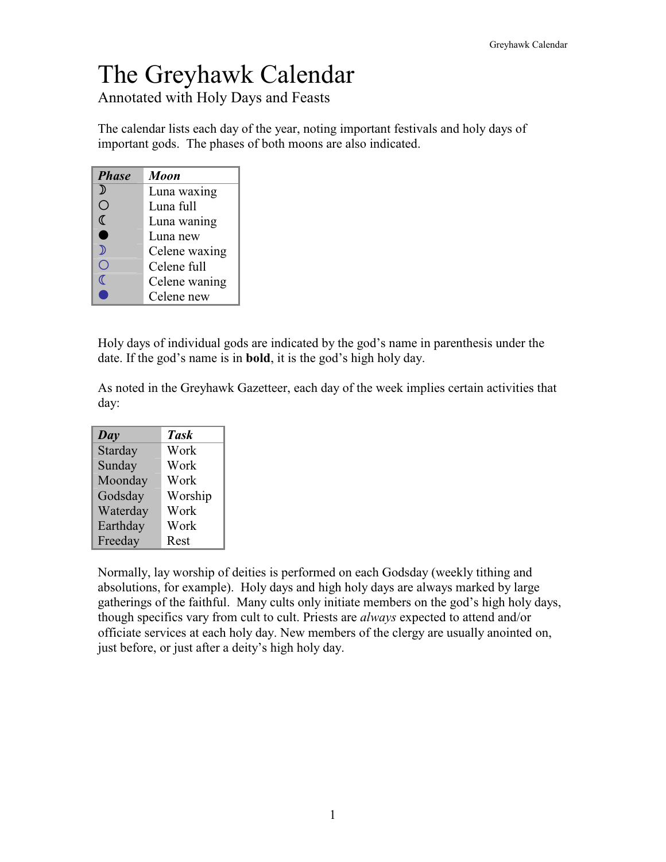# The Greyhawk Calendar

Annotated with Holy Days and Feasts

The calendar lists each day of the year, noting important festivals and holy days of important gods. The phases of both moons are also indicated.

| <b>Phase</b> | <b>Moon</b>   |
|--------------|---------------|
| ⅅ            | Luna waxing   |
| ۸            | Luna full     |
| ℂ            | Luna waning   |
| ۰            | Luna new      |
| 》            | Celene waxing |
|              | Celene full   |
| r            | Celene waning |
|              | Celene new    |

Holy days of individual gods are indicated by the god's name in parenthesis under the date. If the god's name is in **bold**, it is the god's high holy day.

As noted in the Greyhawk Gazetteer, each day of the week implies certain activities that day:

| Day      | Task    |
|----------|---------|
| Starday  | Work    |
| Sunday   | Work    |
| Moonday  | Work    |
| Godsday  | Worship |
| Waterday | Work    |
| Earthday | Work    |
| Freeday  | Rest    |

Normally, lay worship of deities is performed on each Godsday (weekly tithing and absolutions, for example). Holy days and high holy days are always marked by large gatherings of the faithful. Many cults only initiate members on the god's high holy days, though specifics vary from cult to cult. Priests are *always* expected to attend and/or officiate services at each holy day. New members of the clergy are usually anointed on, just before, or just after a deity's high holy day.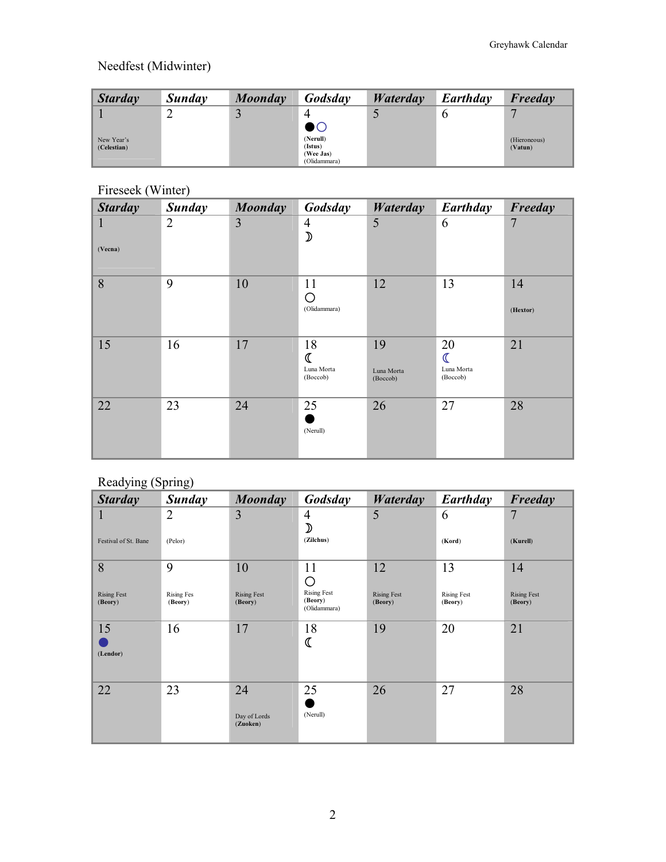# Needfest (Midwinter)

| <b>Starday</b> | Sunday | Moonday | Godsday                              | Waterday | Earthday | Freeday      |
|----------------|--------|---------|--------------------------------------|----------|----------|--------------|
|                | ∸      | لمند    |                                      |          |          |              |
| New Year's     |        |         | $\bullet\circ$<br>(Nerull)           |          |          | (Hieroneous) |
| (Celestian)    |        |         | (Istus)<br>(Wee Jas)<br>(Olidammara) |          |          | (Vatun)      |

# Fireseek (Winter)

| <b>Starday</b>          | <b>Sunday</b>  | <b>Moonday</b> | Godsday                         | <b>Waterday</b>              | Earthday                                      | Freeday        |
|-------------------------|----------------|----------------|---------------------------------|------------------------------|-----------------------------------------------|----------------|
| $\mathbf{1}$<br>(Vecna) | $\overline{2}$ | 3              | $\overline{4}$<br>$\mathcal{D}$ | 5                            | 6                                             | $\overline{7}$ |
| 8                       | 9              | 10             | 11<br>O<br>(Olidammara)         | 12                           | 13                                            | 14<br>(Hextor) |
| 15                      | 16             | 17             | 18<br>Luna Morta<br>(Boccob)    | 19<br>Luna Morta<br>(Boccob) | 20<br>$\mathcal{I}$<br>Luna Morta<br>(Boccob) | 21             |
| 22                      | 23             | 24             | 25<br>(Nerull)                  | 26                           | 27                                            | 28             |

# Readying (Spring)

| <b>Starday</b>                | <b>Sunday</b>                | <b>Moonday</b>                 | Godsday                                            | Waterday                      | Earthday                      | Freeday                       |
|-------------------------------|------------------------------|--------------------------------|----------------------------------------------------|-------------------------------|-------------------------------|-------------------------------|
| 1                             | 2                            | 3                              | $\overline{4}$                                     | 5                             | 6                             | 7                             |
| Festival of St. Bane          | (Pelor)                      |                                | ⊅<br>(Zilchus)                                     |                               | (Kord)                        | (Kurell)                      |
| 8                             | 9                            | 10                             | 11                                                 | 12                            | 13                            | 14                            |
| <b>Rising Fest</b><br>(Beory) | <b>Rising Fes</b><br>(Beory) | <b>Rising Fest</b><br>(Beory)  | O<br><b>Rising Fest</b><br>(Beory)<br>(Olidammara) | <b>Rising Fest</b><br>(Beory) | <b>Rising Fest</b><br>(Beory) | <b>Rising Fest</b><br>(Beory) |
| 15<br>(Lendor)                | 16                           | 17                             | 18                                                 | 19                            | 20                            | 21                            |
| 22                            | 23                           | 24<br>Day of Lords<br>(Zuoken) | 25<br>(Nerull)                                     | 26                            | 27                            | 28                            |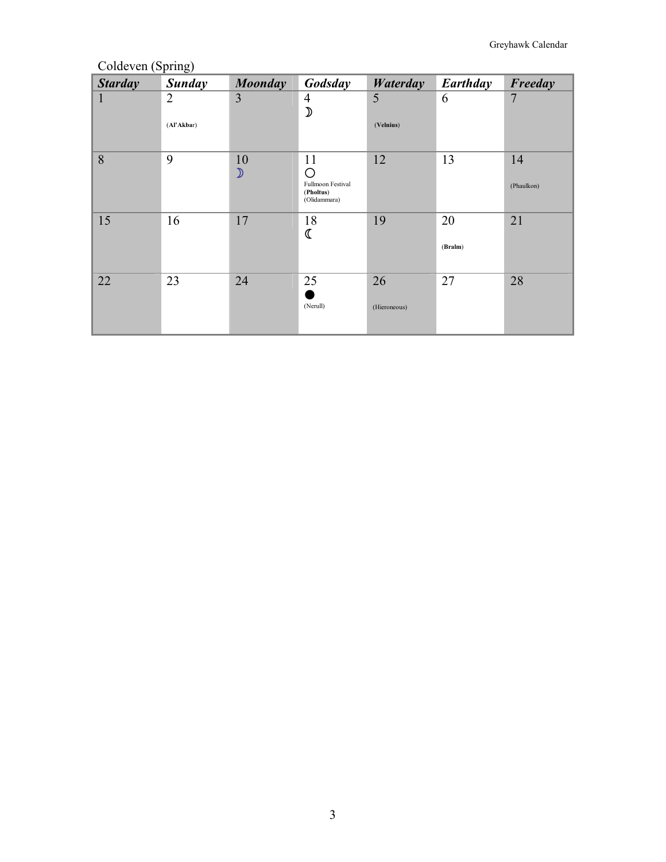# Coldeven (Spring)

| <b>Starday</b> | <b>Sunday</b>                | <b>Moonday</b>      | Godsday                                                   | Waterday           | Earthday      | Freeday          |
|----------------|------------------------------|---------------------|-----------------------------------------------------------|--------------------|---------------|------------------|
| $\mathbf{1}$   | $\overline{2}$<br>(Al'Akbar) | 3                   | $\overline{\mathcal{A}}$<br>$\mathcal{D}$                 | 5<br>(Velnius)     | 6             | $\overline{7}$   |
| 8              | 9                            | 10<br>$\mathcal{D}$ | 11<br>Ω<br>Fullmoon Festival<br>(Pholtus)<br>(Olidammara) | 12                 | 13            | 14<br>(Phaulkon) |
| 15             | 16                           | 17                  | 18<br>ℂ                                                   | 19                 | 20<br>(Bralm) | 21               |
| 22             | 23                           | 24                  | 25<br>(Nerull)                                            | 26<br>(Hieroneous) | 27            | 28               |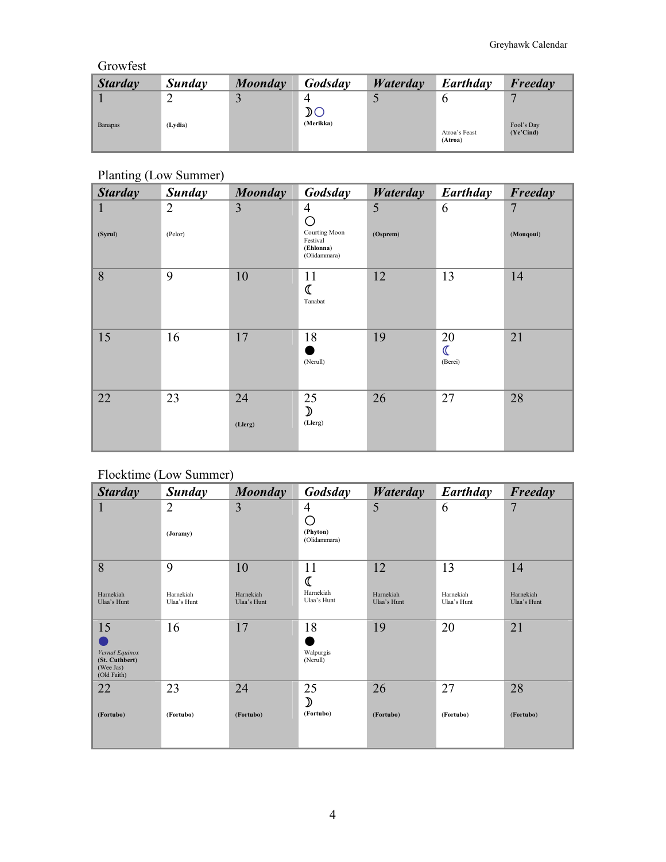#### Growfest

| <b>Starday</b> | Sunday  | Moonday | Godsday                                    | Waterday | Earthday                 | Freeday                 |
|----------------|---------|---------|--------------------------------------------|----------|--------------------------|-------------------------|
|                |         |         | 4                                          |          |                          |                         |
|                |         |         | ${\mathfrak D}$ ${\mathbb C}$<br>(Merikka) |          |                          |                         |
| <b>Banapas</b> | (Lydia) |         |                                            |          | Atroa's Feast<br>(Atroa) | Fool's Day<br>(Ye'Cind) |

# Planting (Low Summer)

| <b>Starday</b> | <b>Sunday</b>             | <b>Moonday</b> | Godsday                                                                       | <b>Waterday</b> | Earthday                                 | Freeday        |
|----------------|---------------------------|----------------|-------------------------------------------------------------------------------|-----------------|------------------------------------------|----------------|
| 1<br>(Syrul)   | $\overline{2}$<br>(Pelor) | 3              | $\overline{4}$<br>О<br>Courting Moon<br>Festival<br>(Ehlonna)<br>(Olidammara) | 5<br>(Osprem)   | 6                                        | 7<br>(Mouqoui) |
| 8              | 9                         | 10             | 11<br>$\mathbb{C}$<br>Tanabat                                                 | 12              | 13                                       | 14             |
| 15             | 16                        | 17             | 18<br>(Nerull)                                                                | 19              | 20<br>$\overline{\mathbb{C}}$<br>(Berei) | 21             |
| 22             | 23                        | 24<br>(Llerg)  | 25<br>$\mathcal{D}$<br>(Llerg)                                                | 26              | 27                                       | 28             |

## Flocktime (Low Summer)

| <b>Starday</b>                                               | Sunday                   | <b>Moonday</b>           | Godsday                       | Waterday                 | Earthday                 | Freeday                  |
|--------------------------------------------------------------|--------------------------|--------------------------|-------------------------------|--------------------------|--------------------------|--------------------------|
| 1                                                            | $\overline{2}$           | 3                        | $\overline{4}$                | 5                        | 6                        | 7                        |
|                                                              | (Joramy)                 |                          | O<br>(Phyton)<br>(Olidammara) |                          |                          |                          |
| 8                                                            | 9                        | 10                       | 11                            | 12                       | 13                       | 14                       |
| Harnekiah<br>Ulaa's Hunt                                     | Harnekiah<br>Ulaa's Hunt | Harnekiah<br>Ulaa's Hunt | Harnekiah<br>Ulaa's Hunt      | Harnekiah<br>Ulaa's Hunt | Harnekiah<br>Ulaa's Hunt | Harnekiah<br>Ulaa's Hunt |
| 15                                                           | 16                       | 17                       | 18                            | 19                       | 20                       | 21                       |
| Vernal Equinox<br>(St. Cuthbert)<br>(Wee Jas)<br>(Old Faith) |                          |                          | Walpurgis<br>(Nerull)         |                          |                          |                          |
| 22                                                           | 23                       | 24                       | 25<br>$\mathcal{D}$           | 26                       | 27                       | 28                       |
| (Fortubo)                                                    | (Fortubo)                | (Fortubo)                | (Fortubo)                     | (Fortubo)                | (Fortubo)                | (Fortubo)                |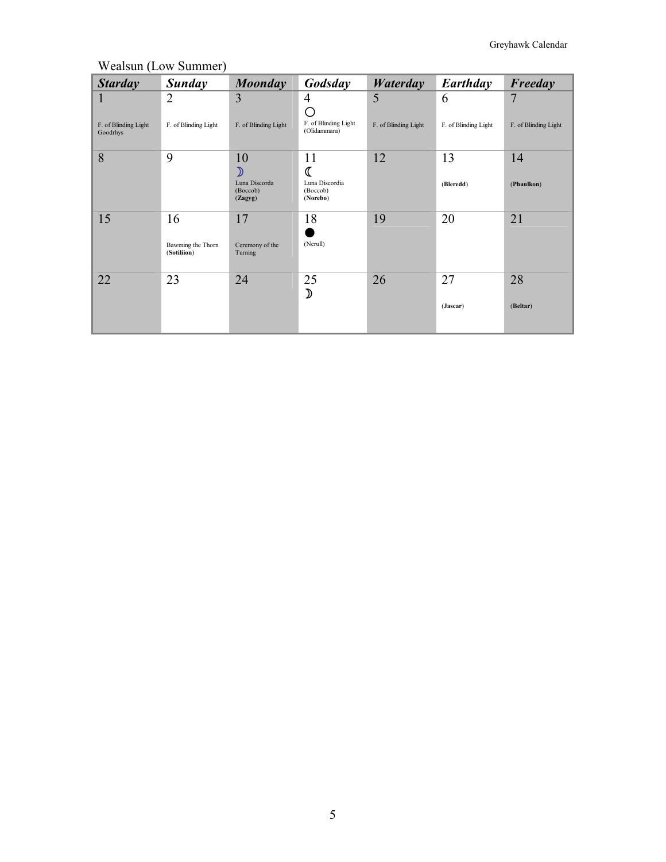| <b>Starday</b>                   | Sunday                           | Moonday                              | Godsday                                | Waterday             | Earthday             | Freeday              |
|----------------------------------|----------------------------------|--------------------------------------|----------------------------------------|----------------------|----------------------|----------------------|
| 1                                | $\overline{2}$                   | 3                                    | $\overline{4}$<br>O                    | 5                    | 6                    | 7                    |
| F. of Blinding Light<br>Goodrhys | F. of Blinding Light             | F. of Blinding Light                 | F. of Blinding Light<br>(Olidammara)   | F. of Blinding Light | F. of Blinding Light | F. of Blinding Light |
| 8                                | 9                                | 10<br>⅀                              | 11<br>ℂ                                | 12                   | 13                   | 14                   |
|                                  |                                  | Luna Discorda<br>(Boccob)<br>(Zagyg) | Luna Discordia<br>(Boccob)<br>(Norebo) |                      | (Bleredd)            | (Phaulkon)           |
| 15                               | 16                               | 17                                   | 18                                     | 19                   | 20                   | 21                   |
|                                  | Bawming the Thorn<br>(Sotiliion) | Ceremony of the<br>Turning           | (Nerull)                               |                      |                      |                      |
| 22                               | 23                               | 24                                   | 25<br>$\mathcal{D}$                    | 26                   | 27                   | 28                   |
|                                  |                                  |                                      |                                        |                      | (Jascar)             | (Beltar)             |

#### Wealsun (Low Summer)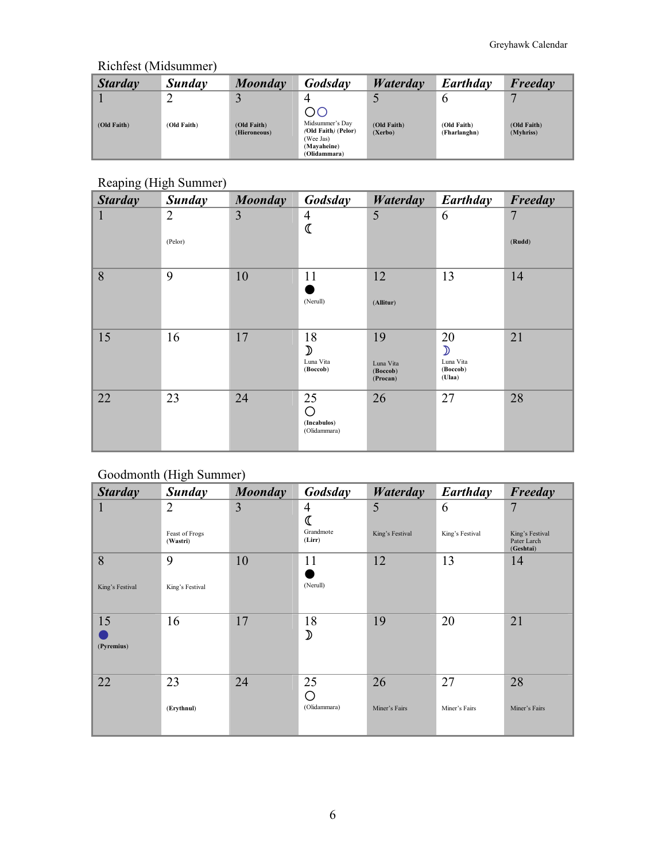# Richfest (Midsummer)

| <b>Starday</b> | Sunday      | Moonday                     | Godsday                                      | Waterday               | Earthday                    | Freeday                  |
|----------------|-------------|-----------------------------|----------------------------------------------|------------------------|-----------------------------|--------------------------|
| (Old Faith)    | (Old Faith) | (Old Faith)<br>(Hieroneous) | ОC<br>Midsummer's Day<br>(Old Faith) (Pelor) | (Old Faith)<br>(Xerbo) | (Old Faith)<br>(Fharlanghn) | (Old Faith)<br>(Myhriss) |
|                |             |                             | (Wee Jas)<br>(Mayaheine)<br>(Olidammara)     |                        |                             |                          |

# Reaping (High Summer)

| <b>Starday</b> | <b>Sunday</b>             | <b>Moonday</b> | Godsday                                      | <b>Waterday</b>                         | Earthday                                               | Freeday                  |
|----------------|---------------------------|----------------|----------------------------------------------|-----------------------------------------|--------------------------------------------------------|--------------------------|
| $\mathbf 1$    | $\overline{2}$<br>(Pelor) | 3              | $\overline{4}$                               | 5                                       | 6                                                      | $\overline{7}$<br>(Rudd) |
| 8              | 9                         | 10             | 11<br>(Nerull)                               | 12<br>(Allitur)                         | 13                                                     | 14                       |
| 15             | 16                        | 17             | 18<br>$\mathcal{D}$<br>Luna Vita<br>(Boccob) | 19<br>Luna Vita<br>(Boccob)<br>(Procan) | 20<br>$\mathcal{D}$<br>Luna Vita<br>(Boccob)<br>(Ulaa) | 21                       |
| 22             | 23                        | 24             | 25<br>O<br>(Incabulos)<br>(Olidammara)       | 26                                      | 27                                                     | 28                       |

## Goodmonth (High Summer)

| <b>Starday</b>   | <b>Sunday</b>              | <b>Moonday</b> | Godsday             | <b>Waterday</b> | Earthday        | Freeday                                     |
|------------------|----------------------------|----------------|---------------------|-----------------|-----------------|---------------------------------------------|
| 1                | 2                          | 3              | 4<br>ℭ              | 5               | 6               | 7                                           |
|                  | Feast of Frogs<br>(Wastri) |                | Grandmote<br>(Lirr) | King's Festival | King's Festival | King's Festival<br>Pater Larch<br>(Geshtai) |
| 8                | 9                          | 10             | 11                  | 12              | 13              | 14                                          |
| King's Festival  | King's Festival            |                | (Nerull)            |                 |                 |                                             |
| 15<br>(Pyremius) | 16                         | 17             | 18<br>⊅             | 19              | 20              | 21                                          |
| 22               | 23                         | 24             | 25<br>О             | 26              | 27              | 28                                          |
|                  | (Erythnul)                 |                | (Olidammara)        | Miner's Fairs   | Miner's Fairs   | Miner's Fairs                               |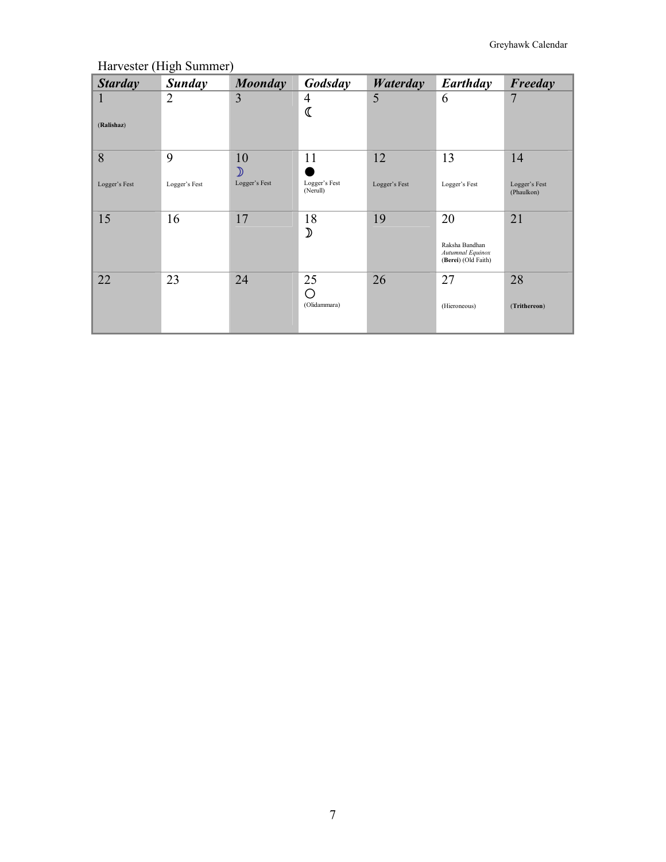*Starday Sunday Moonday Godsday Waterday Earthday Freeday* 1 (**Ralishaz**) 2 3 4  $\frac{4}{3}$ 5 6 7 8 Logger's Fest 9 Logger's Fest 10 ע Logger's Fest 11 v Logger's Fest (Nerull) 12 Logger's Fest 13 Logger's Fest 14 Logger's Fest (Phaulkon) 15 16 17 18  $\mathfrak{D}$ 19 20 Raksha Bandhan *Autumnal Equinox* (**Berei**) (Old Faith) 21 22 23 24 25 - (Olidammara) 26 27 (Hieroneous) 28 (**Trithereon**)

Harvester (High Summer)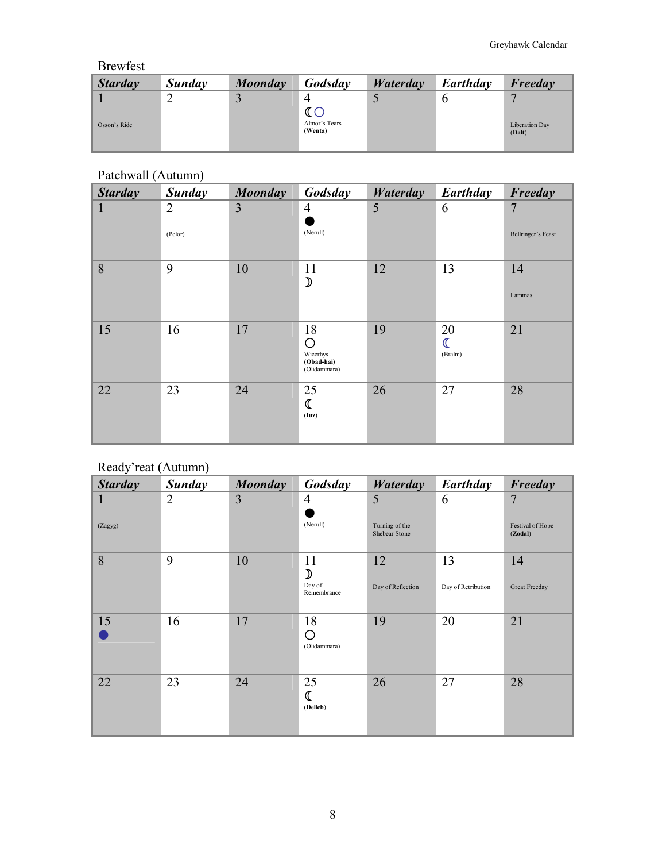#### Brewfest

| <b>Starday</b> | Sunday | Moonday | Godsday                  | Waterday | Earthday | Freeday                  |
|----------------|--------|---------|--------------------------|----------|----------|--------------------------|
|                |        |         |                          |          |          |                          |
| Osson's Ride   |        |         | Almor's Tears<br>(Wenta) |          |          | Liberation Day<br>(Dalt) |

## Patchwall (Autumn)

| <b>Starday</b> | <b>Sunday</b>             | <b>Moonday</b> | Godsday                                           | <b>Waterday</b> | Earthday                                 | Freeday                              |
|----------------|---------------------------|----------------|---------------------------------------------------|-----------------|------------------------------------------|--------------------------------------|
| $\mathbf 1$    | $\overline{2}$<br>(Pelor) | 3              | $\overline{4}$<br>(Nerull)                        | 5               | 6                                        | $\overline{7}$<br>Bellringer's Feast |
| 8              | 9                         | 10             | 11<br>$\mathcal{D}$                               | 12              | 13                                       | 14<br>Lammas                         |
| 15             | 16                        | 17             | 18<br>O<br>Wiccrhys<br>(Obad-hai)<br>(Olidammara) | 19              | 20<br>$\overline{\mathbb{C}}$<br>(Bralm) | 21                                   |
| 22             | 23                        | 24             | 25<br>ℂ<br>(Iuz)                                  | 26              | 27                                       | 28                                   |

#### Ready'reat (Autumn)

| <b>Starday</b> | Sunday         | <b>Moonday</b> | Godsday                                      | <b>Waterday</b>                      | Earthday                 | Freeday                          |
|----------------|----------------|----------------|----------------------------------------------|--------------------------------------|--------------------------|----------------------------------|
| 1<br>(Zagyg)   | $\overline{2}$ | 3              | 4<br>(Nerull)                                | 5<br>Turning of the<br>Shebear Stone | 6                        | 7<br>Festival of Hope<br>(Zodal) |
| 8              | 9              | 10             | 11<br>$\mathcal{D}$<br>Day of<br>Remembrance | 12<br>Day of Reflection              | 13<br>Day of Retribution | 14<br>Great Freeday              |
| 15             | 16             | 17             | 18<br>O<br>(Olidammara)                      | 19                                   | 20                       | 21                               |
| 22             | 23             | 24             | 25<br>(Delleb)                               | 26                                   | 27                       | 28                               |